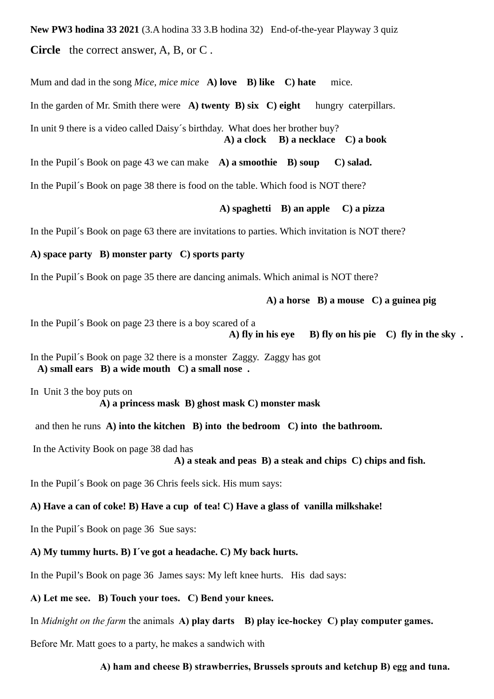**New PW3 hodina 33 2021** (3.A hodina 33 3.B hodina 32) End-of-the-year Playway 3 quiz **Circle** the correct answer, A, B, or C .

Mum and dad in the song *Mice, mice mice* **A) love B) like C) hate** mice.

In the garden of Mr. Smith there were **A) twenty B) six C) eight** hungry caterpillars.

In unit 9 there is a video called Daisy´s birthday. What does her brother buy?  **A) a clock B) a necklace C) a book**

In the Pupil´s Book on page 43 we can make **A) a smoothie B) soup C) salad.** In the Pupil´s Book on page 38 there is food on the table. Which food is NOT there?

**A) spaghetti B) an apple C) a pizza** 

In the Pupil´s Book on page 63 there are invitations to parties. Which invitation is NOT there?

### **A) space party B) monster party C) sports party**

In the Pupil´s Book on page 35 there are dancing animals. Which animal is NOT there?

**A) a horse B) a mouse C) a guinea pig** 

In the Pupil´s Book on page 23 there is a boy scared of a

 **A) fly in his eye B) fly on his pie C) fly in the sky .**

In the Pupil´s Book on page 32 there is a monster Zaggy. Zaggy has got  **A) small ears B) a wide mouth C) a small nose .**

In Unit 3 the boy puts on  **A) a princess mask B) ghost mask C) monster mask**

and then he runs **A) into the kitchen B) into the bedroom C) into the bathroom.** 

In the Activity Book on page 38 dad has

**A) a steak and peas B) a steak and chips C) chips and fish.**

In the Pupil´s Book on page 36 Chris feels sick. His mum says:

### **A) Have a can of coke! B) Have a cup of tea! C) Have a glass of vanilla milkshake!**

In the Pupil´s Book on page 36 Sue says:

## **A) My tummy hurts. B) I´ve got a headache. C) My back hurts.**

In the Pupil's Book on page 36 James says: My left knee hurts. His dad says:

**A) Let me see. B) Touch your toes. C) Bend your knees.** 

In *Midnight on the farm* the animals **A) play darts B) play ice-hockey C) play computer games.**

Before Mr. Matt goes to a party, he makes a sandwich with

### **A) ham and cheese B) strawberries, Brussels sprouts and ketchup B) egg and tuna.**